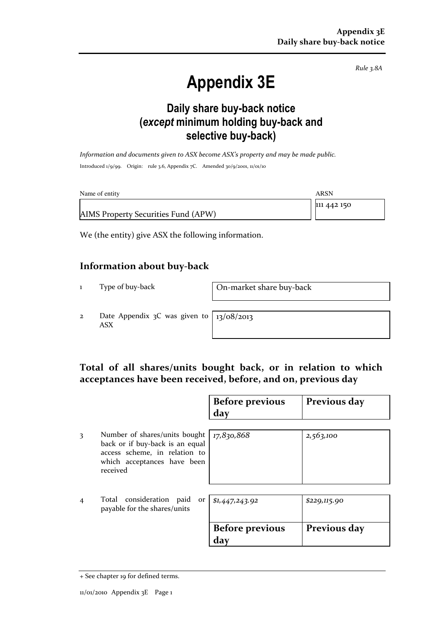Rule 3.8A

# Appendix 3E

### Daily share buy-back notice (except minimum holding buy-back and selective buy-back)

Information and documents given to ASX become ASX's property and may be made public. Introduced 1/9/99. Origin: rule 3.6, Appendix 7C. Amended 30/9/2001, 11/01/10

| Name of entity                      | ARSN        |
|-------------------------------------|-------------|
|                                     | 111 442 150 |
| AIMS Property Securities Fund (APW) |             |

We (the entity) give ASX the following information.

#### Information about buy-back

1 Type of buy-back On-market share buy-back

2 Date Appendix 3C was given to ASX

13/08/2013

#### Total of all shares/units bought back, or in relation to which acceptances have been received, before, and on, previous day

|                |                                                                                                                                              | <b>Before previous</b><br>day | Previous day |
|----------------|----------------------------------------------------------------------------------------------------------------------------------------------|-------------------------------|--------------|
| 3              | Number of shares/units bought<br>back or if buy-back is an equal<br>access scheme, in relation to<br>which acceptances have been<br>received | 17,830,868                    | 2,563,100    |
| $\overline{4}$ | Total consideration paid<br>or <sub>1</sub><br>payable for the shares/units                                                                  | \$1,447,243.92                | \$229,115.90 |
|                |                                                                                                                                              | <b>Before previous</b><br>day | Previous day |

<sup>+</sup> See chapter 19 for defined terms.